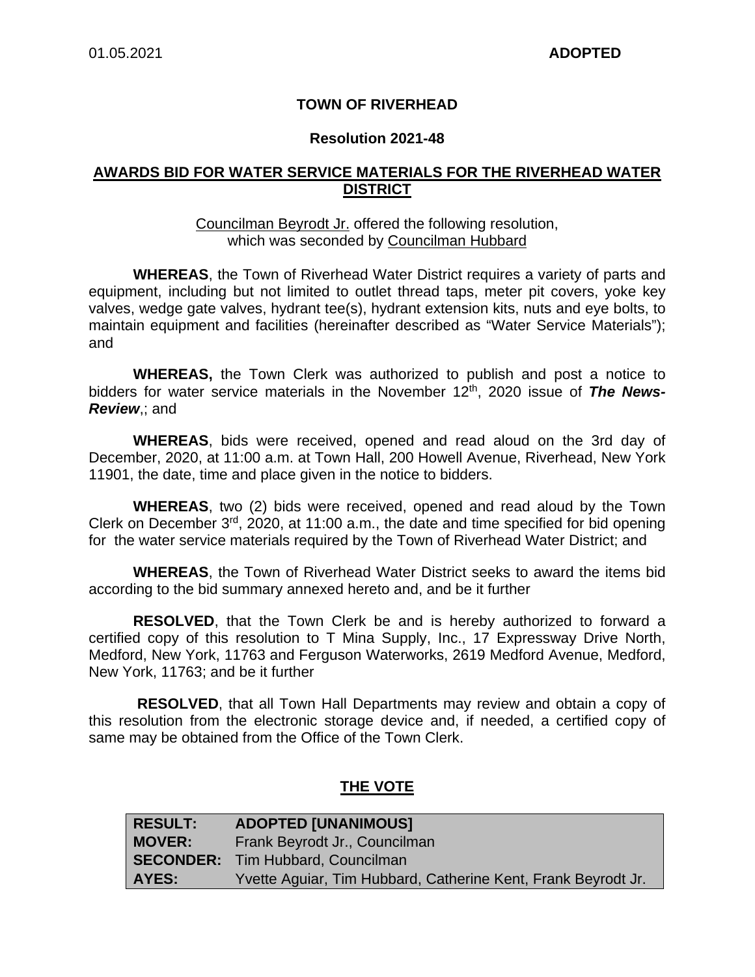## **TOWN OF RIVERHEAD**

#### **Resolution 2021-48**

## **AWARDS BID FOR WATER SERVICE MATERIALS FOR THE RIVERHEAD WATER DISTRICT**

#### Councilman Beyrodt Jr. offered the following resolution, which was seconded by Councilman Hubbard

**WHEREAS**, the Town of Riverhead Water District requires a variety of parts and equipment, including but not limited to outlet thread taps, meter pit covers, yoke key valves, wedge gate valves, hydrant tee(s), hydrant extension kits, nuts and eye bolts, to maintain equipment and facilities (hereinafter described as "Water Service Materials"); and

**WHEREAS,** the Town Clerk was authorized to publish and post a notice to bidders for water service materials in the November 12<sup>th</sup>, 2020 issue of **The News-***Review*,; and

**WHEREAS**, bids were received, opened and read aloud on the 3rd day of December, 2020, at 11:00 a.m. at Town Hall, 200 Howell Avenue, Riverhead, New York 11901, the date, time and place given in the notice to bidders.

**WHEREAS**, two (2) bids were received, opened and read aloud by the Town Clerk on December 3rd, 2020, at 11:00 a.m., the date and time specified for bid opening for the water service materials required by the Town of Riverhead Water District; and

**WHEREAS**, the Town of Riverhead Water District seeks to award the items bid according to the bid summary annexed hereto and, and be it further

**RESOLVED**, that the Town Clerk be and is hereby authorized to forward a certified copy of this resolution to T Mina Supply, Inc., 17 Expressway Drive North, Medford, New York, 11763 and Ferguson Waterworks, 2619 Medford Avenue, Medford, New York, 11763; and be it further

**RESOLVED**, that all Town Hall Departments may review and obtain a copy of this resolution from the electronic storage device and, if needed, a certified copy of same may be obtained from the Office of the Town Clerk.

## **THE VOTE**

| <b>RESULT:</b> | <b>ADOPTED [UNANIMOUS]</b>                                    |
|----------------|---------------------------------------------------------------|
| <b>MOVER:</b>  | Frank Beyrodt Jr., Councilman                                 |
|                | <b>SECONDER:</b> Tim Hubbard, Councilman                      |
| AYES:          | Yvette Aguiar, Tim Hubbard, Catherine Kent, Frank Beyrodt Jr. |